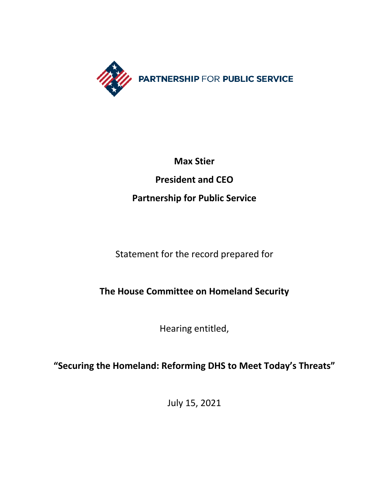

# **Max Stier**

# **President and CEO**

# **Partnership for Public Service**

Statement for the record prepared for

# **The House Committee on Homeland Security**

Hearing entitled,

**"Securing the Homeland: Reforming DHS to Meet Today's Threats"**

July 15, 2021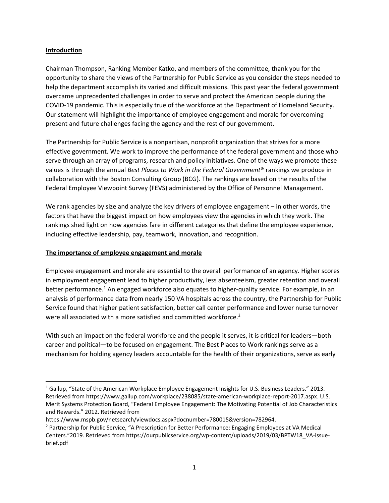#### **Introduction**

Chairman Thompson, Ranking Member Katko, and members of the committee, thank you for the opportunity to share the views of the Partnership for Public Service as you consider the steps needed to help the department accomplish its varied and difficult missions. This past year the federal government overcame unprecedented challenges in order to serve and protect the American people during the COVID-19 pandemic. This is especially true of the workforce at the Department of Homeland Security. Our statement will highlight the importance of employee engagement and morale for overcoming present and future challenges facing the agency and the rest of our government.

The Partnership for Public Service is a nonpartisan, nonprofit organization that strives for a more effective government. We work to improve the performance of the federal government and those who serve through an array of programs, research and policy initiatives. One of the ways we promote these values is through the annual *Best Places to Work in the Federal Government*® rankings we produce in collaboration with the Boston Consulting Group (BCG). The rankings are based on the results of the Federal Employee Viewpoint Survey (FEVS) administered by the Office of Personnel Management.

We rank agencies by size and analyze the key drivers of employee engagement – in other words, the factors that have the biggest impact on how employees view the agencies in which they work. The rankings shed light on how agencies fare in different categories that define the employee experience, including effective leadership, pay, teamwork, innovation, and recognition.

#### **The importance of employee engagement and morale**

Employee engagement and morale are essential to the overall performance of an agency. Higher scores in employment engagement lead to higher productivity, less absenteeism, greater retention and overall better performance.<sup>1</sup> An engaged workforce also equates to higher-quality service. For example, in an analysis of performance data from nearly 150 VA hospitals across the country, the Partnership for Public Service found that higher patient satisfaction, better call center performance and lower nurse turnover were all associated with a more satisfied and committed workforce.<sup>2</sup>

With such an impact on the federal workforce and the people it serves, it is critical for leaders—both career and political—to be focused on engagement. The Best Places to Work rankings serve as a mechanism for holding agency leaders accountable for the health of their organizations, serve as early

<sup>1</sup> Gallup, "State of the American Workplace Employee Engagement Insights for U.S. Business Leaders." 2013. Retrieved from https://www.gallup.com/workplace/238085/state-american-workplace-report-2017.aspx. U.S. Merit Systems Protection Board, "Federal Employee Engagement: The Motivating Potential of Job Characteristics and Rewards." 2012. Retrieved from

https://www.mspb.gov/netsearch/viewdocs.aspx?docnumber=780015&version=782964.

<sup>&</sup>lt;sup>2</sup> Partnership for Public Service, "A Prescription for Better Performance: Engaging Employees at VA Medical Centers."2019. Retrieved from https://ourpublicservice.org/wp-content/uploads/2019/03/BPTW18\_VA-issuebrief.pdf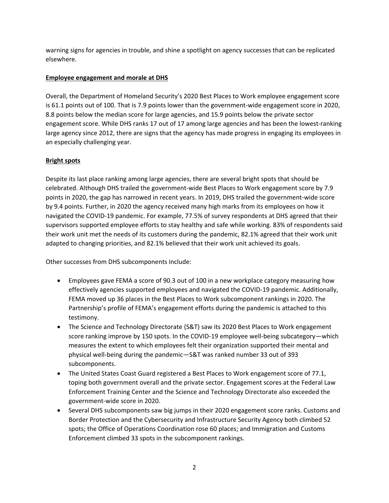warning signs for agencies in trouble, and shine a spotlight on agency successes that can be replicated elsewhere.

### **Employee engagement and morale at DHS**

Overall, the Department of Homeland Security's 2020 Best Places to Work employee engagement score is 61.1 points out of 100. That is 7.9 points lower than the government-wide engagement score in 2020, 8.8 points below the median score for large agencies, and 15.9 points below the private sector engagement score. While DHS ranks 17 out of 17 among large agencies and has been the lowest-ranking large agency since 2012, there are signs that the agency has made progress in engaging its employees in an especially challenging year.

# **Bright spots**

Despite its last place ranking among large agencies, there are several bright spots that should be celebrated. Although DHS trailed the government-wide Best Places to Work engagement score by 7.9 points in 2020, the gap has narrowed in recent years. In 2019, DHS trailed the government-wide score by 9.4 points. Further, in 2020 the agency received many high marks from its employees on how it navigated the COVID-19 pandemic. For example, 77.5% of survey respondents at DHS agreed that their supervisors supported employee efforts to stay healthy and safe while working. 83% of respondents said their work unit met the needs of its customers during the pandemic, 82.1% agreed that their work unit adapted to changing priorities, and 82.1% believed that their work unit achieved its goals.

Other successes from DHS subcomponents include:

- Employees gave FEMA a score of 90.3 out of 100 in a new workplace category measuring how effectively agencies supported employees and navigated the COVID-19 pandemic. Additionally, FEMA moved up 36 places in the Best Places to Work subcomponent rankings in 2020. The Partnership's profile of FEMA's engagement efforts during the pandemic is attached to this testimony.
- The Science and Technology Directorate (S&T) saw its 2020 Best Places to Work engagement score ranking improve by 150 spots. In the COVID-19 employee well-being subcategory—which measures the extent to which employees felt their organization supported their mental and physical well-being during the pandemic—S&T was ranked number 33 out of 393 subcomponents.
- The United States Coast Guard registered a Best Places to Work engagement score of 77.1, toping both government overall and the private sector. Engagement scores at the Federal Law Enforcement Training Center and the Science and Technology Directorate also exceeded the government-wide score in 2020.
- Several DHS subcomponents saw big jumps in their 2020 engagement score ranks. Customs and Border Protection and the Cybersecurity and Infrastructure Security Agency both climbed 52 spots; the Office of Operations Coordination rose 60 places; and Immigration and Customs Enforcement climbed 33 spots in the subcomponent rankings.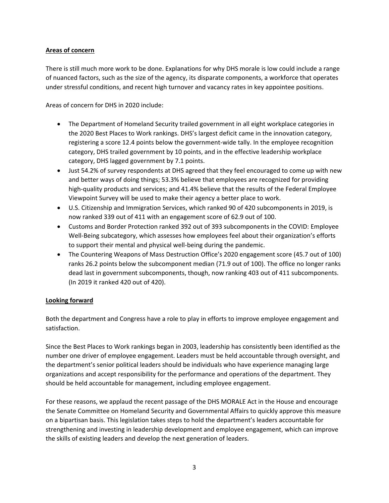#### **Areas of concern**

There is still much more work to be done. Explanations for why DHS morale is low could include a range of nuanced factors, such as the size of the agency, its disparate components, a workforce that operates under stressful conditions, and recent high turnover and vacancy rates in key appointee positions.

Areas of concern for DHS in 2020 include:

- The Department of Homeland Security trailed government in all eight workplace categories in the 2020 Best Places to Work rankings. DHS's largest deficit came in the innovation category, registering a score 12.4 points below the government-wide tally. In the employee recognition category, DHS trailed government by 10 points, and in the effective leadership workplace category, DHS lagged government by 7.1 points.
- Just 54.2% of survey respondents at DHS agreed that they feel encouraged to come up with new and better ways of doing things; 53.3% believe that employees are recognized for providing high-quality products and services; and 41.4% believe that the results of the Federal Employee Viewpoint Survey will be used to make their agency a better place to work.
- U.S. Citizenship and Immigration Services, which ranked 90 of 420 subcomponents in 2019, is now ranked 339 out of 411 with an engagement score of 62.9 out of 100.
- Customs and Border Protection ranked 392 out of 393 subcomponents in the COVID: Employee Well-Being subcategory, which assesses how employees feel about their organization's efforts to support their mental and physical well-being during the pandemic.
- The Countering Weapons of Mass Destruction Office's 2020 engagement score (45.7 out of 100) ranks 26.2 points below the subcomponent median (71.9 out of 100). The office no longer ranks dead last in government subcomponents, though, now ranking 403 out of 411 subcomponents. (In 2019 it ranked 420 out of 420).

# **Looking forward**

Both the department and Congress have a role to play in efforts to improve employee engagement and satisfaction.

Since the Best Places to Work rankings began in 2003, leadership has consistently been identified as the number one driver of employee engagement. Leaders must be held accountable through oversight, and the department's senior political leaders should be individuals who have experience managing large organizations and accept responsibility for the performance and operations of the department. They should be held accountable for management, including employee engagement.

For these reasons, we applaud the recent passage of the DHS MORALE Act in the House and encourage the Senate Committee on Homeland Security and Governmental Affairs to quickly approve this measure on a bipartisan basis. This legislation takes steps to hold the department's leaders accountable for strengthening and investing in leadership development and employee engagement, which can improve the skills of existing leaders and develop the next generation of leaders.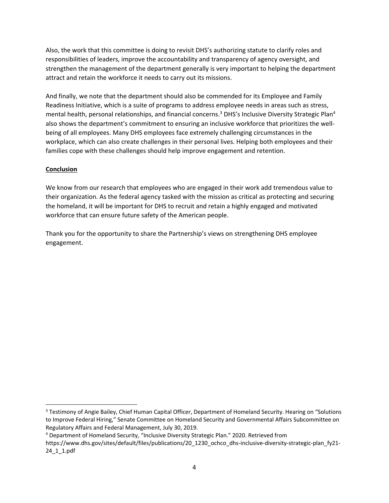Also, the work that this committee is doing to revisit DHS's authorizing statute to clarify roles and responsibilities of leaders, improve the accountability and transparency of agency oversight, and strengthen the management of the department generally is very important to helping the department attract and retain the workforce it needs to carry out its missions.

And finally, we note that the department should also be commended for its Employee and Family Readiness Initiative, which is a suite of programs to address employee needs in areas such as stress, mental health, personal relationships, and financial concerns.<sup>3</sup> DHS's Inclusive Diversity Strategic Plan<sup>4</sup> also shows the department's commitment to ensuring an inclusive workforce that prioritizes the wellbeing of all employees. Many DHS employees face extremely challenging circumstances in the workplace, which can also create challenges in their personal lives. Helping both employees and their families cope with these challenges should help improve engagement and retention.

### **Conclusion**

We know from our research that employees who are engaged in their work add tremendous value to their organization. As the federal agency tasked with the mission as critical as protecting and securing the homeland, it will be important for DHS to recruit and retain a highly engaged and motivated workforce that can ensure future safety of the American people.

Thank you for the opportunity to share the Partnership's views on strengthening DHS employee engagement.

<sup>&</sup>lt;sup>3</sup> Testimony of Angie Bailey, Chief Human Capital Officer, Department of Homeland Security. Hearing on "Solutions to Improve Federal Hiring," Senate Committee on Homeland Security and Governmental Affairs Subcommittee on Regulatory Affairs and Federal Management, July 30, 2019.

<sup>4</sup> Department of Homeland Security, "Inclusive Diversity Strategic Plan." 2020. Retrieved from

https://www.dhs.gov/sites/default/files/publications/20\_1230\_ochco\_dhs-inclusive-diversity-strategic-plan\_fy21- 24\_1\_1.pdf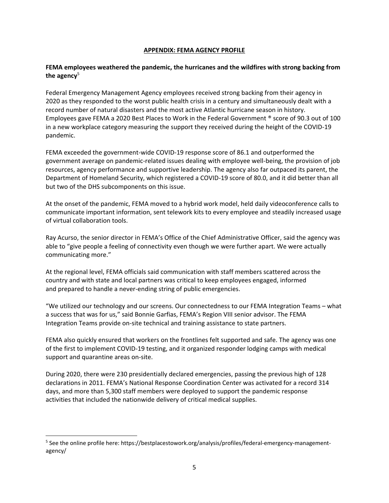#### **APPENDIX: FEMA AGENCY PROFILE**

### **FEMA employees weathered the pandemic, the hurricanes and the wildfires with strong backing from the agency**<sup>5</sup>

Federal Emergency Management Agency employees received strong backing from their agency in 2020 as they responded to the worst public health crisis in a century and simultaneously dealt with a record number of natural disasters and the most active Atlantic hurricane season in history. Employees gave FEMA a 2020 Best Places to Work in the Federal Government ® score of 90.3 out of 100 in a new workplace category measuring the support they received during the height of the COVID-19 pandemic.

FEMA exceeded the government-wide COVID-19 response score of 86.1 and outperformed the government average on pandemic-related issues dealing with employee well-being, the provision of job resources, agency performance and supportive leadership. The agency also far outpaced its parent, the Department of Homeland Security, which registered a COVID-19 score of 80.0, and it did better than all but two of the DHS subcomponents on this issue.

At the onset of the pandemic, FEMA moved to a hybrid work model, held daily videoconference calls to communicate important information, sent telework kits to every employee and steadily increased usage of virtual collaboration tools.

Ray Acurso, the senior director in FEMA's Office of the Chief Administrative Officer, said the agency was able to "give people a feeling of connectivity even though we were further apart. We were actually communicating more."

At the regional level, FEMA officials said communication with staff members scattered across the country and with state and local partners was critical to keep employees engaged, informed and prepared to handle a never-ending string of public emergencies.

"We utilized our technology and our screens. Our connectedness to our FEMA Integration Teams – what a success that was for us," said Bonnie Garfias, FEMA's Region VIII senior advisor. The FEMA Integration Teams provide on-site technical and training assistance to state partners.

FEMA also quickly ensured that workers on the frontlines felt supported and safe. The agency was one of the first to implement COVID-19 testing, and it organized responder lodging camps with medical support and quarantine areas on-site.

During 2020, there were 230 presidentially declared emergencies, passing the previous high of 128 declarations in 2011. FEMA's National Response Coordination Center was activated for a record 314 days, and more than 5,300 staff members were deployed to support the pandemic response activities that included the nationwide delivery of critical medical supplies.

<sup>&</sup>lt;sup>5</sup> See the online profile here: https://bestplacestowork.org/analysis/profiles/federal-emergency-managementagency/